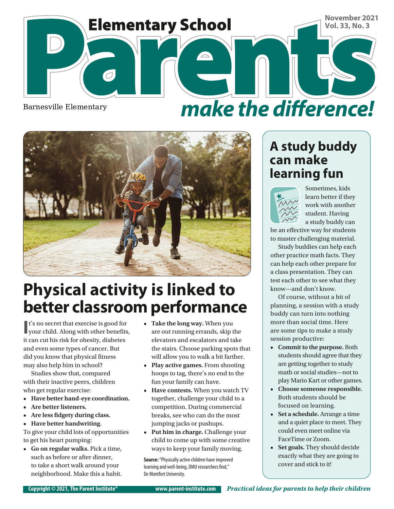

# make the difference!



# **Physical activity is linked to better classroom performance**

 $\mathbf{I}'$  is no secret that exercise is good for your child. Along with other benefits, t's no secret that exercise is good for it can cut his risk for obesity, diabetes and even some types of cancer. But did you know that physical fitness may also help him in school?

Studies show that, compared with their inactive peers, children who get regular exercise:

- **• Have better hand-eye coordination.**
- **• Are better listeners.**
- **• Are less fidgety during class.**
- **• Have better handwriting**.

To give your child lots of opportunities to get his heart pumping:

**• Go on regular walks.** Pick a time, such as before or after dinner, to take a short walk around your neighborhood. Make this a habit.

- **• Take the long way.** When you are out running errands, skip the elevators and escalators and take the stairs. Choose parking spots that will allow you to walk a bit farther.
- **• Play active games.** From shooting hoops to tag, there's no end to the fun your family can have.
- **• Have contests.** When you watch TV together, challenge your child to a competition. During commercial breaks, see who can do the most jumping jacks or pushups.
- **• Put him in charge.** Challenge your child to come up with some creative ways to keep your family moving.

**Source:** "Physically active children have improved learning and well-being, DMU researchers find," De Montfort University.

#### **A study buddy can make learning fun**



Sometimes, kids learn better if they work with another student. Having a study buddy can

be an effective way for students to master challenging material.

Study buddies can help each other practice math facts. They can help each other prepare for a class presentation. They can test each other to see what they know—and don't know.

Of course, without a bit of planning, a session with a study buddy can turn into nothing more than social time. Here are some tips to make a study session productive:

- **• Commit to the purpose.** Both students should agree that they are getting together to study math or social studies—not to play Mario Kart or other games.
- **• Choose someone responsible.** Both students should be focused on learning.
- **• Set a schedule.** Arrange a time and a quiet place to meet. They could even meet online via FaceTime or Zoom.
- **• Set goals.** They should decide exactly what they are going to cover and stick to it!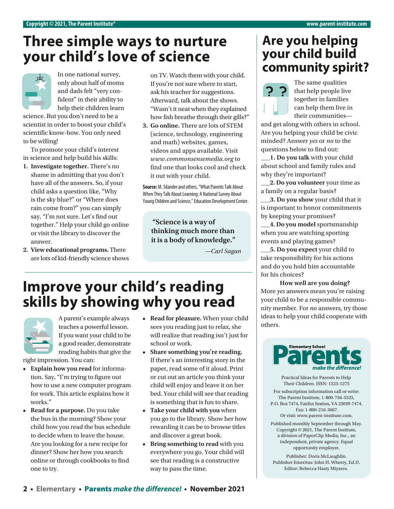## **Three simple ways to nurture your child's love of science**



only about half of moms and dads felt "very confident" in their ability to help their children learn

science. But you don't need to be a scientist in order to boost your child's scientific know-how. You only need to be willing!

To promote your child's interest in science and help build his skills:

- **1. Investigate together.** There's no shame in admitting that you don't have all of the answers. So, if your child asks a question like, "Why is the sky blue?" or "Where does rain come from?" you can simply say, "I'm not sure. Let's find out together." Help your child go online or visit the library to discover the answer.
- **2. View educational programs.** There are lots of kid-friendly science shows

on TV. Watch them with your child. If you're not sure where to start, ask his teacher for suggestions. Afterward, talk about the shows. "Wasn't it neat when they explained how fish breathe through their gills?"

**3. Go online.** There are lots of STEM (science, technology, engineering and math) websites, games, videos and apps available. Visit *[www.commonsensemedia.org](http://www.commonsensemedia.org)* to find one that looks cool and check it out with your child.

**Source:** M. Silander and others, "What Parents Talk About When They Talk About Learning: A National Survey About Young Children and Science," Education Development Center.

**"Science is a way of thinking much more than it is a body of knowledge."**

*—Carl Sagan*

### **Improve your child's reading skills by showing why you read**



A parent's example always teaches a powerful lesson. If you want your child to be a good reader, demonstrate reading habits that give the

right impression. You can:

- **• Explain how you read** for information. Say, "I'm trying to figure out how to use a new computer program for work. This article explains how it works."
- **• Read for a purpose.** Do you take the bus in the morning? Show your child how you read the bus schedule to decide when to leave the house. Are you looking for a new recipe for dinner? Show her how you search online or through cookbooks to find one to try.
- **• Read for pleasure.** When your child sees you reading just to relax, she will realize that reading isn't just for school or work.
- **• Share something you're reading.** If there's an interesting story in the paper, read some of it aloud. Print or cut out an article you think your child will enjoy and leave it on her bed. Your child will see that reading is something that is fun to share.
- **• Take your child with you** when you go to the library. Show her how rewarding it can be to browse titles and discover a great book.
- **• Bring something to read** with you everywhere you go. Your child will see that reading is a constructive way to pass the time.

#### **Are you helping your child build**  In one national survey, on TV. Watch them with your child.



The same qualities that help people live together in families can help them live in their communities—

and get along with others in school. Are you helping your child be civic minded? Answer *yes* or *no* to the questions below to find out:

**\_\_\_1. Do you talk** with your child about school and family rules and why they're important?

**\_\_\_2. Do you volunteer** your time as a family on a regular basis?

**\_\_\_3. Do you show** your child that it is important to honor commitments by keeping your promises?

**\_\_\_4. Do you model** sportsmanship when you are watching sporting events and playing games?

**\_\_\_5. Do you expect** your child to take responsibility for his actions and do you hold him accountable for his choices?

**How well are you doing?** More *yes* answers mean you're raising your child to be a responsible community member. For *no* answers, try those ideas to help your child cooperate with others.



Practical Ideas for Parents to Help Their Children. ISSN: 1523-1275

For subscription information call or write: The Parent Institute, 1-800-756-5525, P.O. Box 7474, Fairfax Station, VA 22039-7474. Fax: 1-800-216-3667.

Or visit: www.parent-institute.com.

Published monthly September through May. Copyright © 2021, The Parent Institute, a division of PaperClip Media, Inc., an independent, private agency. Equal opportunity employer.

Publisher: Doris McLaughlin. Publisher Emeritus: John H. Wherry, Ed.D. Editor: Rebecca Hasty Miyares.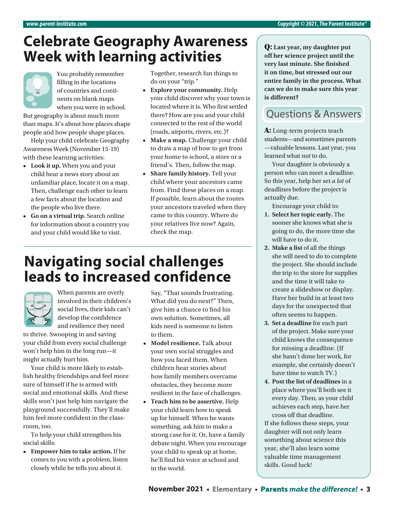#### **Celebrate Geography Awareness Week with learning activities**

You probably remember filling in the locations of countries and continents on blank maps when you were in school.

But geography is about much more than maps. It's about how places shape people and how people shape places.

Help your child celebrate Geography Awareness Week (November 15-19) with these learning activities:

- **• Look it up.** When you and your child hear a news story about an unfamiliar place, locate it on a map. Then, challenge each other to learn a few facts about the location and the people who live there.
- **• Go on a virtual trip.** Search online for information about a country you and your child would like to visit.

Together, research fun things to do on your "trip."

- **• Explore your community.** Help your child discover why your town is located where it is. Who first settled there? How are you and your child connected to the rest of the world (roads, airports, rivers, etc.)?
- Make a map. Challenge your child to draw a map of how to get from your home to school, a store or a friend's. Then, follow the map.
- **• Share family history.** Tell your child where your ancestors came from. Find these places on a map. If possible, learn about the routes your ancestors traveled when they came to this country. Where do your relatives live now? Again, check the map.

### **Navigating social challenges leads to increased confidence**



When parents are overly involved in their children's social lives, their kids can't develop the confidence and resilience they need

to thrive. Swooping in and saving your child from every social challenge won't help him in the long run—it might actually hurt him.

Your child is more likely to establish healthy friendships and feel more sure of himself if he is armed with social and emotional skills. And these skills won't just help him navigate the playground successfully. They'll make him feel more confident in the classroom, too.

To help your child strengthen his social skills:

**• Empower him to take action.** If he comes to you with a problem, listen closely while he tells you about it.

Say, "That sounds frustrating. What did you do next?" Then, give him a chance to find his own solution. Sometimes, all kids need is someone to listen to them.

- **• Model resilience.** Talk about your own social struggles and how you faced them. When children hear stories about how family members overcame obstacles, they become more resilient in the face of challenges.
- **• Teach him to be assertive.** Help your child learn how to speak up for himself. When he wants something, ask him to make a strong case for it. Or, have a family debate night. When you encourage your child to speak up at home, he'll find his voice at school and in the world.

Q: **Last year, my daughter put off her science project until the very last minute. She finished it on time, but stressed out our entire family in the process. What can we do to make sure this year is different?**

#### **Ouestions & Answers**

A: Long-term projects teach students—and sometimes parents —valuable lessons. Last year, you learned what *not* to do.

Your daughter is obviously a person who can meet a deadline. So this year, help her set *a lot* of deadlines before the project is actually due.

Encourage your child to:

- **1. Select her topic early.** The sooner she knows what she is going to do, the more time she will have to do it.
- **2. Make a list** of all the things she will need to do to complete the project. She should include the trip to the store for supplies and the time it will take to create a slideshow or display. Have her build in at least two days for the unexpected that often seems to happen.
- **3. Set a deadline** for each part of the project. Make sure your child knows the consequence for missing a deadline. (If she hasn't done her work, for example, she certainly doesn't have time to watch TV.)
- **4. Post the list of deadlines** in a place where you'll both see it every day. Then, as your child achieves each step, have her cross off that deadline.

If she follows these steps, your daughter will not only learn something about science this year, she'll also learn some valuable time management skills. Good luck!